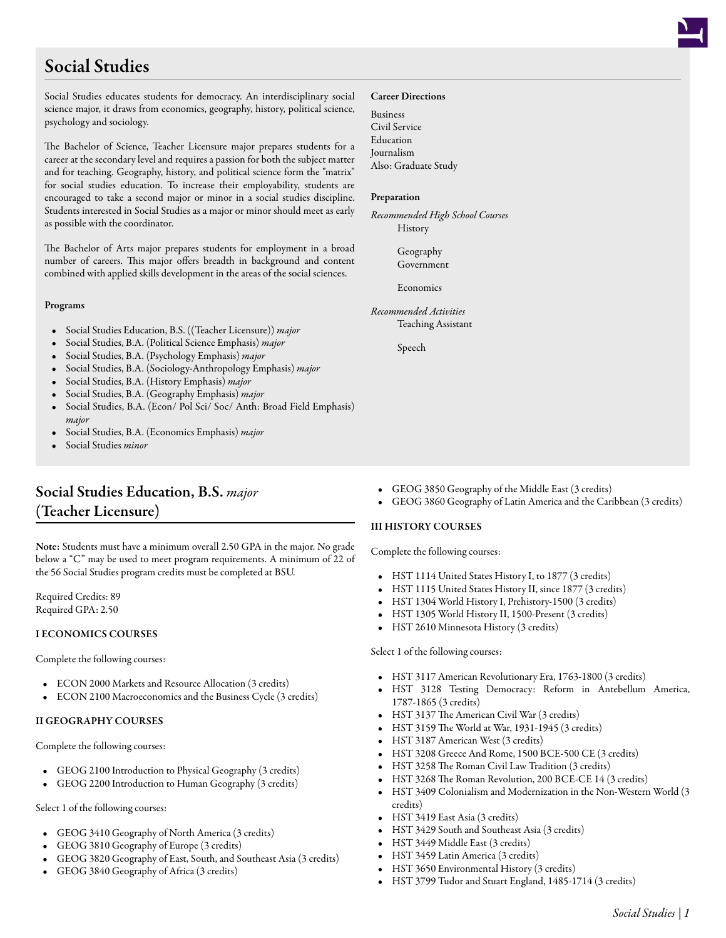# Social Studies

Social Studies educates students for democracy. An interdisciplinary social science major, it draws from economics, geography, history, political science, psychology and sociology.

The Bachelor of Science, Teacher Licensure major prepares students for a career at the secondary level and requires a passion for both the subject matter and for teaching. Geography, history, and political science form the "matrix" for social studies education. To increase their employability, students are encouraged to take a second major or minor in a social studies discipline. Students interested in Social Studies as a major or minor should meet as early as possible with the coordinator.

The Bachelor of Arts major prepares students for employment in a broad number of careers. This major offers breadth in background and content combined with applied skills development in the areas of the social sciences.

### Programs

- Social Studies Education, B.S. ((Teacher Licensure)) *major*
- Social Studies, B.A. (Political Science Emphasis) *major*
- Social Studies, B.A. (Psychology Emphasis) *major*
- Social Studies, B.A. (Sociology-Anthropology Emphasis) *major*
- Social Studies, B.A. (History Emphasis) *major*
- Social Studies, B.A. (Geography Emphasis) *major*
- Social Studies, B.A. (Econ/ Pol Sci/ Soc/ Anth: Broad Field Emphasis) *major*
- Social Studies, B.A. (Economics Emphasis) *major*
- Social Studies *minor*

# Social Studies Education, B.S. *major* (Teacher Licensure)

Note: Students must have a minimum overall 2.50 GPA in the major. No grade below a "C" may be used to meet program requirements. A minimum of 22 of the 56 Social Studies program credits must be completed at BSU.

Required Credits: 89 Required GPA: 2.50

### I ECONOMICS COURSES

Complete the following courses:

- ECON 2000 [Markets and Resource Allocation](/academics/catalog/20233/courses/econ/2000) (3 credits)
- ECON 2100 [Macroeconomics and the Business Cycle](/academics/catalog/20233/courses/econ/2100) (3 credits)

### II GEOGRAPHY COURSES

Complete the following courses:

- GEOG 2100 [Introduction to Physical Geography](/academics/catalog/20233/courses/geog/2100) (3 credits)
- GEOG 2200 [Introduction to Human Geography](/academics/catalog/20233/courses/geog/2200) (3 credits)

Select 1 of the following courses:

- GEOG 3410 [Geography of North America](/academics/catalog/20233/courses/geog/3410) (3 credits)
- GEOG 3810 [Geography of Europe](/academics/catalog/20233/courses/geog/3810) (3 credits)
- GEOG 3820 [Geography of East, South, and Southeast Asia](/academics/catalog/20233/courses/geog/3820) (3 credits)
- GEOG 3840 [Geography of Africa](/academics/catalog/20233/courses/geog/3840) (3 credits)

### Career Directions

Business Civil Service Education Journalism Also: Graduate Study

### Preparation

*Recommended High School Courses* History

> Geography Government

Economics

*Recommended Activities* Teaching Assistant

Speech

- GEOG 3850 [Geography of the Middle East](/academics/catalog/20233/courses/geog/3850) (3 credits)
- GEOG 3860 [Geography of Latin America and the Caribbean](/academics/catalog/20233/courses/geog/3860) (3 credits)

### III HISTORY COURSES

Complete the following courses:

- HST 1114 [United States History I, to 1877](/academics/catalog/20233/courses/hst/1114) (3 credits)
- HST 1115 [United States History II, since 1877](/academics/catalog/20233/courses/hst/1115) (3 credits)
- HST 1304 [World History I, Prehistory-1500](/academics/catalog/20233/courses/hst/1304) (3 credits)
- HST 1305 [World History II, 1500-Present](/academics/catalog/20233/courses/hst/1305) (3 credits)
- HST 2610 [Minnesota History](/academics/catalog/20233/courses/hst/2610) (3 credits)

### Select 1 of the following courses:

- HST 3117 [American Revolutionary Era, 1763-1800](/academics/catalog/20233/courses/hst/3117) (3 credits)
- HST 3128 [Testing Democracy: Reform in Antebellum America,](/academics/catalog/20233/courses/hst/3128) [1787-1865](/academics/catalog/20233/courses/hst/3128) (3 credits)
- HST 3137 [The American Civil War](/academics/catalog/20233/courses/hst/3137) (3 credits)
- HST 3159 [The World at War, 1931-1945](/academics/catalog/20233/courses/hst/3159) (3 credits)
- HST 3187 [American West](/academics/catalog/20233/courses/hst/3187) (3 credits)
- HST 3208 [Greece And Rome, 1500 BCE-500 CE](/academics/catalog/20233/courses/hst/3208) (3 credits)
- HST 3258 [The Roman Civil Law Tradition](/academics/catalog/20233/courses/hst/3258) (3 credits)
- HST 3268 [The Roman Revolution, 200 BCE-CE 14](/academics/catalog/20233/courses/hst/3268) (3 credits)
- HST 3409 [Colonialism and Modernization in the Non-Western World](/academics/catalog/20233/courses/hst/3409) (3 credits)
- HST 3419 [East Asia](/academics/catalog/20233/courses/hst/3419) (3 credits)
- HST 3429 [South and Southeast Asia](/academics/catalog/20233/courses/hst/3429) (3 credits)
- HST 3449 [Middle East](/academics/catalog/20233/courses/hst/3449) (3 credits)
- HST 3459 [Latin America](/academics/catalog/20233/courses/hst/3459) (3 credits)
- HST 3650 [Environmental History](/academics/catalog/20233/courses/hst/3650) (3 credits)
- HST 3799 [Tudor and Stuart England, 1485-1714](/academics/catalog/20233/courses/hst/3799) (3 credits)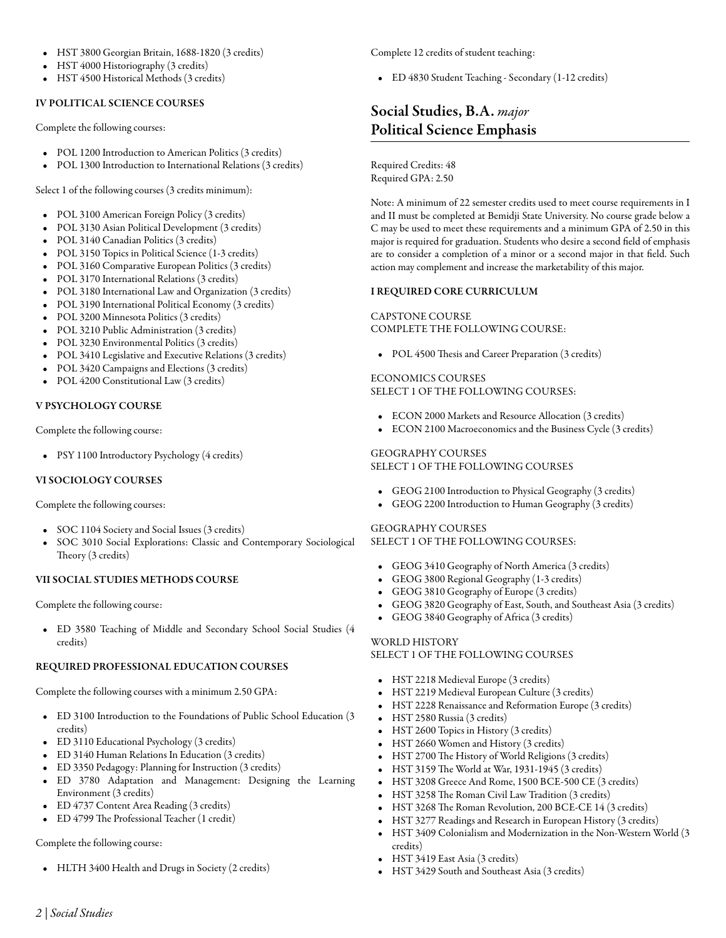- HST 3800 [Georgian Britain, 1688-1820](/academics/catalog/20233/courses/hst/3800) (3 credits)
- HST 4000 [Historiography](/academics/catalog/20233/courses/hst/4000) (3 credits)
- HST 4500 [Historical Methods](/academics/catalog/20233/courses/hst/4500) (3 credits)

### IV POLITICAL SCIENCE COURSES

Complete the following courses:

- POL 1200 [Introduction to American Politics](/academics/catalog/20233/courses/pol/1200) (3 credits)
- POL 1300 [Introduction to International Relations](/academics/catalog/20233/courses/pol/1300) (3 credits)

Select 1 of the following courses (3 credits minimum):

- POL 3100 [American Foreign Policy](/academics/catalog/20233/courses/pol/3100) (3 credits)
- POL 3130 [Asian Political Development](/academics/catalog/20233/courses/pol/3130) (3 credits)
- POL 3140 [Canadian Politics](/academics/catalog/20233/courses/pol/3140) (3 credits)
- POL 3150 [Topics in Political Science](/academics/catalog/20233/courses/pol/3150) (1-3 credits)
- POL 3160 [Comparative European Politics](/academics/catalog/20233/courses/pol/3160) (3 credits)
- POL 3170 [International Relations](/academics/catalog/20233/courses/pol/3170) (3 credits)
- POL 3180 [International Law and Organization](/academics/catalog/20233/courses/pol/3180) (3 credits)
- POL 3190 [International Political Economy](/academics/catalog/20233/courses/pol/3190) (3 credits)
- POL 3200 [Minnesota Politics](/academics/catalog/20233/courses/pol/3200) (3 credits)
- POL 3210 [Public Administration](/academics/catalog/20233/courses/pol/3210) (3 credits)
- POL 3230 [Environmental Politics](/academics/catalog/20233/courses/pol/3230) (3 credits)
- POL 3410 [Legislative and Executive Relations](/academics/catalog/20233/courses/pol/3410) (3 credits)
- POL 3420 [Campaigns and Elections](/academics/catalog/20233/courses/pol/3420) (3 credits)
- POL 4200 [Constitutional Law](/academics/catalog/20233/courses/pol/4200) (3 credits)

### V PSYCHOLOGY COURSE

Complete the following course:

• PSY 1100 [Introductory Psychology](/academics/catalog/20233/courses/psy/1100) (4 credits)

### VI SOCIOLOGY COURSES

Complete the following courses:

- SOC 1104 [Society and Social Issues](/academics/catalog/20233/courses/soc/1104) (3 credits)
- SOC 3010 [Social Explorations: Classic and Contemporary Sociological](/academics/catalog/20233/courses/soc/3010) [Theory](/academics/catalog/20233/courses/soc/3010) (3 credits)

### VII SOCIAL STUDIES METHODS COURSE

Complete the following course:

• ED 3580 [Teaching of Middle and Secondary School Social Studies](/academics/catalog/20233/courses/ed/3580) (4 credits)

### REQUIRED PROFESSIONAL EDUCATION COURSES

Complete the following courses with a minimum 2.50 GPA:

- ED 3100 [Introduction to the Foundations of Public School Education](/academics/catalog/20233/courses/ed/3100) (3 credits)
- ED 3110 [Educational Psychology](/academics/catalog/20233/courses/ed/3110) (3 credits)
- ED 3140 [Human Relations In Education](/academics/catalog/20233/courses/ed/3140) (3 credits)
- ED 3350 [Pedagogy: Planning for Instruction](/academics/catalog/20233/courses/ed/3350) (3 credits)
- ED 3780 [Adaptation and Management: Designing the Learning](/academics/catalog/20233/courses/ed/3780) [Environment](/academics/catalog/20233/courses/ed/3780) (3 credits)
- ED 4737 [Content Area Reading](/academics/catalog/20233/courses/ed/4737) (3 credits)
- ED 4799 [The Professional Teacher](/academics/catalog/20233/courses/ed/4799) (1 credit)

### Complete the following course:

• HLTH 3400 [Health and Drugs in Society](/academics/catalog/20233/courses/hlth/3400) (2 credits)

Complete 12 credits of student teaching:

• ED 4830 [Student Teaching - Secondary](/academics/catalog/20233/courses/ed/4830) (1-12 credits)

# Social Studies, B.A. *major* Political Science Emphasis

Required Credits: 48 Required GPA: 2.50

Note: A minimum of 22 semester credits used to meet course requirements in I and II must be completed at Bemidji State University. No course grade below a C may be used to meet these requirements and a minimum GPA of 2.50 in this major is required for graduation. Students who desire a second field of emphasis are to consider a completion of a minor or a second major in that field. Such action may complement and increase the marketability of this major.

### I REQUIRED CORE CURRICULUM

# CAPSTONE COURSE

COMPLETE THE FOLLOWING COURSE:

• POL 4500 [Thesis and Career Preparation](/academics/catalog/20233/courses/pol/4500) (3 credits)

### ECONOMICS COURSES SELECT 1 OF THE FOLLOWING COURSES:

- ECON 2000 [Markets and Resource Allocation](/academics/catalog/20233/courses/econ/2000) (3 credits)
- ECON 2100 [Macroeconomics and the Business Cycle](/academics/catalog/20233/courses/econ/2100) (3 credits)

### GEOGRAPHY COURSES SELECT 1 OF THE FOLLOWING COURSES

- GEOG 2100 [Introduction to Physical Geography](/academics/catalog/20233/courses/geog/2100) (3 credits)
- GEOG 2200 [Introduction to Human Geography](/academics/catalog/20233/courses/geog/2200) (3 credits)

# GEOGRAPHY COURSES SELECT 1 OF THE FOLLOWING COURSES:

- GEOG 3410 [Geography of North America](/academics/catalog/20233/courses/geog/3410) (3 credits)
- GEOG 3800 [Regional Geography](/academics/catalog/20233/courses/geog/3800) (1-3 credits)
- GEOG 3810 [Geography of Europe](/academics/catalog/20233/courses/geog/3810) (3 credits)
- GEOG 3820 [Geography of East, South, and Southeast Asia](/academics/catalog/20233/courses/geog/3820) (3 credits)
- GEOG 3840 [Geography of Africa](/academics/catalog/20233/courses/geog/3840) (3 credits)

### WORLD HISTORY SELECT 1 OF THE FOLLOWING COURSES

- HST 2218 [Medieval Europe](/academics/catalog/20233/courses/hst/2218) (3 credits)
- HST 2219 [Medieval European Culture](/academics/catalog/20233/courses/hst/2219) (3 credits)
- HST 2228 [Renaissance and Reformation Europe](/academics/catalog/20233/courses/hst/2228) (3 credits)
- HST 2580 [Russia](/academics/catalog/20233/courses/hst/2580) (3 credits)
- HST 2600 [Topics in History](/academics/catalog/20233/courses/hst/2600) (3 credits)
- HST 2660 [Women and History](/academics/catalog/20233/courses/hst/2660) (3 credits)
- HST 2700 [The History of World Religions](/academics/catalog/20233/courses/hst/2700) (3 credits)
- HST 3159 [The World at War, 1931-1945](/academics/catalog/20233/courses/hst/3159) (3 credits)
- HST 3208 [Greece And Rome, 1500 BCE-500 CE](/academics/catalog/20233/courses/hst/3208) (3 credits)
- HST 3258 [The Roman Civil Law Tradition](/academics/catalog/20233/courses/hst/3258) (3 credits)
- HST 3268 [The Roman Revolution, 200 BCE-CE 14](/academics/catalog/20233/courses/hst/3268) (3 credits)
- HST 3277 [Readings and Research in European History](/academics/catalog/20233/courses/hst/3277) (3 credits)
- HST 3409 [Colonialism and Modernization in the Non-Western World](/academics/catalog/20233/courses/hst/3409) (3 credits)
- HST 3419 [East Asia](/academics/catalog/20233/courses/hst/3419) (3 credits)
- HST 3429 [South and Southeast Asia](/academics/catalog/20233/courses/hst/3429) (3 credits)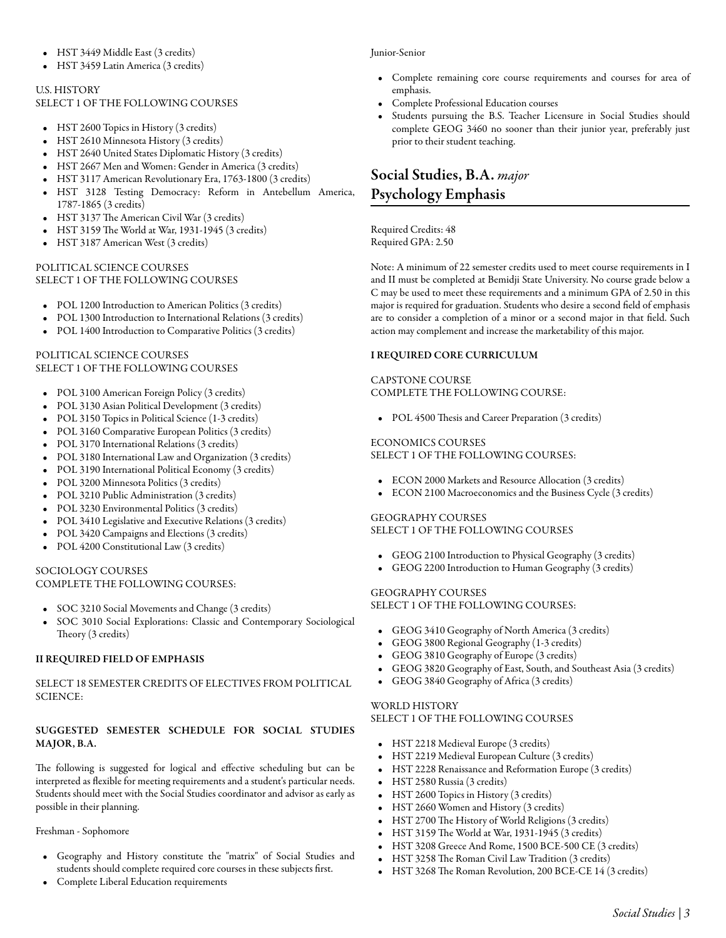- HST 3449 [Middle East](/academics/catalog/20233/courses/hst/3449) (3 credits)
- HST 3459 [Latin America](/academics/catalog/20233/courses/hst/3459) (3 credits)

### U.S. HISTORY

SELECT 1 OF THE FOLLOWING COURSES

- HST 2600 [Topics in History](/academics/catalog/20233/courses/hst/2600) (3 credits)
- HST 2610 [Minnesota History](/academics/catalog/20233/courses/hst/2610) (3 credits)
- HST 2640 [United States Diplomatic History](/academics/catalog/20233/courses/hst/2640) (3 credits)
- HST 2667 [Men and Women: Gender in America](/academics/catalog/20233/courses/hst/2667) (3 credits)
- HST 3117 [American Revolutionary Era, 1763-1800](/academics/catalog/20233/courses/hst/3117) (3 credits)
- HST 3128 [Testing Democracy: Reform in Antebellum America,](/academics/catalog/20233/courses/hst/3128) [1787-1865](/academics/catalog/20233/courses/hst/3128) (3 credits)
- HST 3137 [The American Civil War](/academics/catalog/20233/courses/hst/3137) (3 credits)
- HST 3159 [The World at War, 1931-1945](/academics/catalog/20233/courses/hst/3159) (3 credits)
- HST 3187 [American West](/academics/catalog/20233/courses/hst/3187) (3 credits)

### POLITICAL SCIENCE COURSES SELECT 1 OF THE FOLLOWING COURSES

- POL 1200 [Introduction to American Politics](/academics/catalog/20233/courses/pol/1200) (3 credits)
- POL 1300 [Introduction to International Relations](/academics/catalog/20233/courses/pol/1300) (3 credits)
- POL 1400 [Introduction to Comparative Politics](/academics/catalog/20233/courses/pol/1400) (3 credits)

### POLITICAL SCIENCE COURSES SELECT 1 OF THE FOLLOWING COURSES

- POL 3100 [American Foreign Policy](/academics/catalog/20233/courses/pol/3100) (3 credits)
- POL 3130 [Asian Political Development](/academics/catalog/20233/courses/pol/3130) (3 credits)
- POL 3150 [Topics in Political Science](/academics/catalog/20233/courses/pol/3150) (1-3 credits)
- POL 3160 [Comparative European Politics](/academics/catalog/20233/courses/pol/3160) (3 credits)
- POL 3170 [International Relations](/academics/catalog/20233/courses/pol/3170) (3 credits)
- POL 3180 [International Law and Organization](/academics/catalog/20233/courses/pol/3180) (3 credits)
- POL 3190 [International Political Economy](/academics/catalog/20233/courses/pol/3190) (3 credits)
- POL 3200 [Minnesota Politics](/academics/catalog/20233/courses/pol/3200) (3 credits)
- POL 3210 [Public Administration](/academics/catalog/20233/courses/pol/3210) (3 credits)
- POL 3230 [Environmental Politics](/academics/catalog/20233/courses/pol/3230) (3 credits)
- POL 3410 [Legislative and Executive Relations](/academics/catalog/20233/courses/pol/3410) (3 credits)
- POL 3420 [Campaigns and Elections](/academics/catalog/20233/courses/pol/3420) (3 credits)
- POL 4200 [Constitutional Law](/academics/catalog/20233/courses/pol/4200) (3 credits)

#### SOCIOLOGY COURSES COMPLETE THE FOLLOWING COURSES:

- SOC 3210 [Social Movements and Change](/academics/catalog/20233/courses/soc/3210) (3 credits)
- SOC 3010 [Social Explorations: Classic and Contemporary Sociological](/academics/catalog/20233/courses/soc/3010) [Theory](/academics/catalog/20233/courses/soc/3010) (3 credits)

### II REQUIRED FIELD OF EMPHASIS

### SELECT 18 SEMESTER CREDITS OF ELECTIVES FROM POLITICAL SCIENCE:

## SUGGESTED SEMESTER SCHEDULE FOR SOCIAL STUDIES MAJOR, B.A.

The following is suggested for logical and effective scheduling but can be interpreted as flexible for meeting requirements and a student's particular needs. Students should meet with the Social Studies coordinator and advisor as early as possible in their planning.

Freshman - Sophomore

- Geography and History constitute the "matrix" of Social Studies and students should complete required core courses in these subjects first.
- Complete Liberal Education requirements

### Junior-Senior

- Complete remaining core course requirements and courses for area of emphasis.
- Complete Professional Education courses
- Students pursuing the B.S. Teacher Licensure in Social Studies should complete GEOG 3460 no sooner than their junior year, preferably just prior to their student teaching.

# Social Studies, B.A. *major* Psychology Emphasis

Required Credits: 48 Required GPA: 2.50

Note: A minimum of 22 semester credits used to meet course requirements in I and II must be completed at Bemidji State University. No course grade below a C may be used to meet these requirements and a minimum GPA of 2.50 in this major is required for graduation. Students who desire a second field of emphasis are to consider a completion of a minor or a second major in that field. Such action may complement and increase the marketability of this major.

### I REQUIRED CORE CURRICULUM

#### CAPSTONE COURSE COMPLETE THE FOLLOWING COURSE:

• POL 4500 [Thesis and Career Preparation](/academics/catalog/20233/courses/pol/4500) (3 credits)

## ECONOMICS COURSES

SELECT 1 OF THE FOLLOWING COURSES:

- ECON 2000 [Markets and Resource Allocation](/academics/catalog/20233/courses/econ/2000) (3 credits)
- ECON 2100 [Macroeconomics and the Business Cycle](/academics/catalog/20233/courses/econ/2100) (3 credits)

### GEOGRAPHY COURSES SELECT 1 OF THE FOLLOWING COURSES

- GEOG 2100 [Introduction to Physical Geography](/academics/catalog/20233/courses/geog/2100) (3 credits)
- GEOG 2200 [Introduction to Human Geography](/academics/catalog/20233/courses/geog/2200) (3 credits)

### GEOGRAPHY COURSES

SELECT 1 OF THE FOLLOWING COURSES:

- GEOG 3410 [Geography of North America](/academics/catalog/20233/courses/geog/3410) (3 credits)
- GEOG 3800 [Regional Geography](/academics/catalog/20233/courses/geog/3800) (1-3 credits)
- GEOG 3810 [Geography of Europe](/academics/catalog/20233/courses/geog/3810) (3 credits)
- GEOG 3820 [Geography of East, South, and Southeast Asia](/academics/catalog/20233/courses/geog/3820) (3 credits)
- GEOG 3840 [Geography of Africa](/academics/catalog/20233/courses/geog/3840) (3 credits)

### WORLD HISTORY

SELECT 1 OF THE FOLLOWING COURSES

- HST 2218 [Medieval Europe](/academics/catalog/20233/courses/hst/2218) (3 credits)
- HST 2219 [Medieval European Culture](/academics/catalog/20233/courses/hst/2219) (3 credits)
- HST 2228 [Renaissance and Reformation Europe](/academics/catalog/20233/courses/hst/2228) (3 credits)
- HST 2580 [Russia](/academics/catalog/20233/courses/hst/2580) (3 credits)
- HST 2600 [Topics in History](/academics/catalog/20233/courses/hst/2600) (3 credits)
- HST 2660 [Women and History](/academics/catalog/20233/courses/hst/2660) (3 credits)
- HST 2700 [The History of World Religions](/academics/catalog/20233/courses/hst/2700) (3 credits)
- HST 3159 [The World at War, 1931-1945](/academics/catalog/20233/courses/hst/3159) (3 credits)
- HST 3208 [Greece And Rome, 1500 BCE-500 CE](/academics/catalog/20233/courses/hst/3208) (3 credits)
- HST 3258 [The Roman Civil Law Tradition](/academics/catalog/20233/courses/hst/3258) (3 credits)
- HST 3268 [The Roman Revolution, 200 BCE-CE 14](/academics/catalog/20233/courses/hst/3268) (3 credits)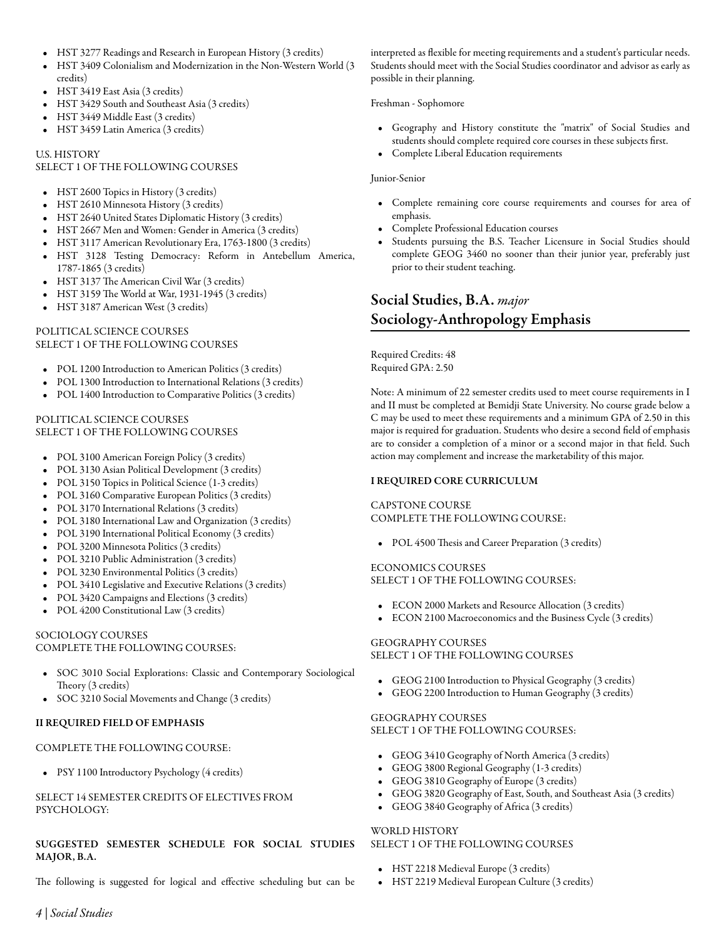- HST 3277 [Readings and Research in European History](/academics/catalog/20233/courses/hst/3277) (3 credits)
- HST 3409 [Colonialism and Modernization in the Non-Western World](/academics/catalog/20233/courses/hst/3409) (3 credits)
- HST 3419 [East Asia](/academics/catalog/20233/courses/hst/3419) (3 credits)
- HST 3429 [South and Southeast Asia](/academics/catalog/20233/courses/hst/3429) (3 credits)
- HST 3449 [Middle East](/academics/catalog/20233/courses/hst/3449) (3 credits)
- HST 3459 [Latin America](/academics/catalog/20233/courses/hst/3459) (3 credits)

### U.S. HISTORY

### SELECT 1 OF THE FOLLOWING COURSES

- HST 2600 [Topics in History](/academics/catalog/20233/courses/hst/2600) (3 credits)
- HST 2610 [Minnesota History](/academics/catalog/20233/courses/hst/2610) (3 credits)
- HST 2640 [United States Diplomatic History](/academics/catalog/20233/courses/hst/2640) (3 credits)
- HST 2667 [Men and Women: Gender in America](/academics/catalog/20233/courses/hst/2667) (3 credits)
- HST 3117 [American Revolutionary Era, 1763-1800](/academics/catalog/20233/courses/hst/3117) (3 credits)
- HST 3128 [Testing Democracy: Reform in Antebellum America,](/academics/catalog/20233/courses/hst/3128) [1787-1865](/academics/catalog/20233/courses/hst/3128) (3 credits)
- HST 3137 [The American Civil War](/academics/catalog/20233/courses/hst/3137) (3 credits)
- HST 3159 [The World at War, 1931-1945](/academics/catalog/20233/courses/hst/3159) (3 credits)
- HST 3187 [American West](/academics/catalog/20233/courses/hst/3187) (3 credits)

### POLITICAL SCIENCE COURSES SELECT 1 OF THE FOLLOWING COURSES

- POL 1200 [Introduction to American Politics](/academics/catalog/20233/courses/pol/1200) (3 credits)
- POL 1300 [Introduction to International Relations](/academics/catalog/20233/courses/pol/1300) (3 credits)
- POL 1400 [Introduction to Comparative Politics](/academics/catalog/20233/courses/pol/1400) (3 credits)

### POLITICAL SCIENCE COURSES SELECT 1 OF THE FOLLOWING COURSES

- POL 3100 [American Foreign Policy](/academics/catalog/20233/courses/pol/3100) (3 credits)
- POL 3130 [Asian Political Development](/academics/catalog/20233/courses/pol/3130) (3 credits)
- POL 3150 [Topics in Political Science](/academics/catalog/20233/courses/pol/3150) (1-3 credits)
- POL 3160 [Comparative European Politics](/academics/catalog/20233/courses/pol/3160) (3 credits)
- POL 3170 [International Relations](/academics/catalog/20233/courses/pol/3170) (3 credits)
- POL 3180 [International Law and Organization](/academics/catalog/20233/courses/pol/3180) (3 credits)
- POL 3190 [International Political Economy](/academics/catalog/20233/courses/pol/3190) (3 credits)
- POL 3200 [Minnesota Politics](/academics/catalog/20233/courses/pol/3200) (3 credits)
- POL 3210 [Public Administration](/academics/catalog/20233/courses/pol/3210) (3 credits)
- POL 3230 [Environmental Politics](/academics/catalog/20233/courses/pol/3230) (3 credits)
- POL 3410 [Legislative and Executive Relations](/academics/catalog/20233/courses/pol/3410) (3 credits)
- POL 3420 [Campaigns and Elections](/academics/catalog/20233/courses/pol/3420) (3 credits)
- POL 4200 [Constitutional Law](/academics/catalog/20233/courses/pol/4200) (3 credits)

#### SOCIOLOGY COURSES COMPLETE THE FOLLOWING COURSES:

- SOC 3010 [Social Explorations: Classic and Contemporary Sociological](/academics/catalog/20233/courses/soc/3010) [Theory](/academics/catalog/20233/courses/soc/3010) (3 credits)
- SOC 3210 [Social Movements and Change](/academics/catalog/20233/courses/soc/3210) (3 credits)

## II REQUIRED FIELD OF EMPHASIS

### COMPLETE THE FOLLOWING COURSE:

• PSY 1100 [Introductory Psychology](/academics/catalog/20233/courses/psy/1100) (4 credits)

## SELECT 14 SEMESTER CREDITS OF ELECTIVES FROM PSYCHOLOGY:

## SUGGESTED SEMESTER SCHEDULE FOR SOCIAL STUDIES MAJOR, B.A.

The following is suggested for logical and effective scheduling but can be

interpreted as flexible for meeting requirements and a student's particular needs. Students should meet with the Social Studies coordinator and advisor as early as possible in their planning.

### Freshman - Sophomore

- Geography and History constitute the "matrix" of Social Studies and students should complete required core courses in these subjects first.
- Complete Liberal Education requirements

### Junior-Senior

- Complete remaining core course requirements and courses for area of emphasis.
- Complete Professional Education courses
- Students pursuing the B.S. Teacher Licensure in Social Studies should complete GEOG 3460 no sooner than their junior year, preferably just prior to their student teaching.

# Social Studies, B.A. *major* Sociology-Anthropology Emphasis

Required Credits: 48 Required GPA: 2.50

Note: A minimum of 22 semester credits used to meet course requirements in I and II must be completed at Bemidji State University. No course grade below a C may be used to meet these requirements and a minimum GPA of 2.50 in this major is required for graduation. Students who desire a second field of emphasis are to consider a completion of a minor or a second major in that field. Such action may complement and increase the marketability of this major.

### I REQUIRED CORE CURRICULUM

### CAPSTONE COURSE COMPLETE THE FOLLOWING COURSE:

• POL 4500 [Thesis and Career Preparation](/academics/catalog/20233/courses/pol/4500) (3 credits)

## ECONOMICS COURSES

SELECT 1 OF THE FOLLOWING COURSES:

- ECON 2000 [Markets and Resource Allocation](/academics/catalog/20233/courses/econ/2000) (3 credits)
- ECON 2100 [Macroeconomics and the Business Cycle](/academics/catalog/20233/courses/econ/2100) (3 credits)

### GEOGRAPHY COURSES SELECT 1 OF THE FOLLOWING COURSES

- GEOG 2100 [Introduction to Physical Geography](/academics/catalog/20233/courses/geog/2100) (3 credits)
- GEOG 2200 [Introduction to Human Geography](/academics/catalog/20233/courses/geog/2200) (3 credits)

### GEOGRAPHY COURSES SELECT 1 OF THE FOLLOWING COURSES:

- GEOG 3410 [Geography of North America](/academics/catalog/20233/courses/geog/3410) (3 credits)
- GEOG 3800 [Regional Geography](/academics/catalog/20233/courses/geog/3800) (1-3 credits)
- GEOG 3810 [Geography of Europe](/academics/catalog/20233/courses/geog/3810) (3 credits)
- GEOG 3820 [Geography of East, South, and Southeast Asia](/academics/catalog/20233/courses/geog/3820) (3 credits)
- GEOG 3840 [Geography of Africa](/academics/catalog/20233/courses/geog/3840) (3 credits)

## WORLD HISTORY SELECT 1 OF THE FOLLOWING COURSES

- HST 2218 [Medieval Europe](/academics/catalog/20233/courses/hst/2218) (3 credits)
- HST 2219 [Medieval European Culture](/academics/catalog/20233/courses/hst/2219) (3 credits)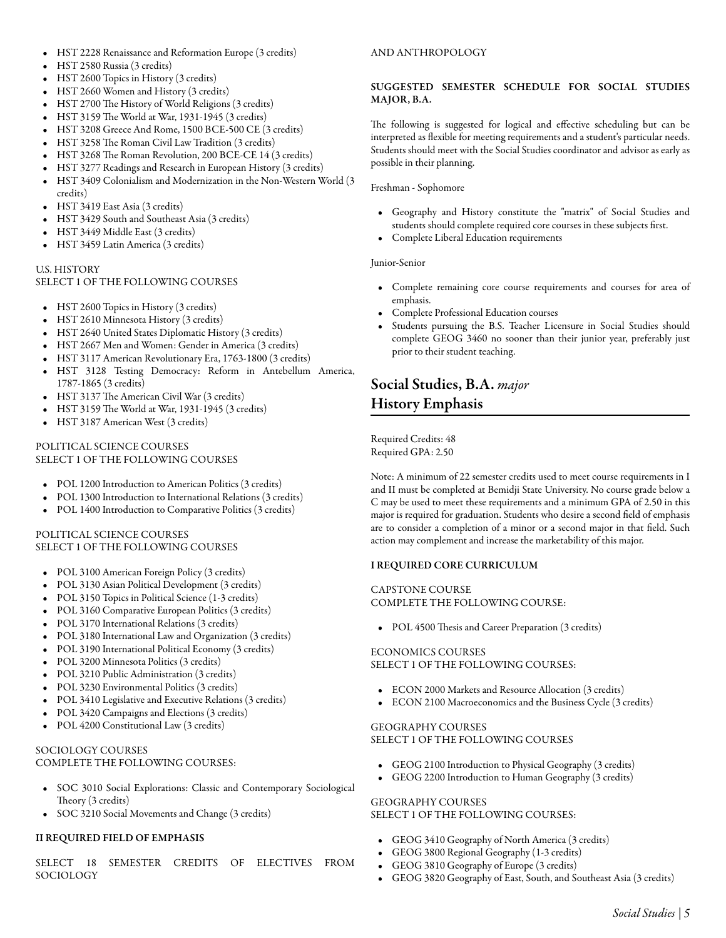- HST 2228 [Renaissance and Reformation Europe](/academics/catalog/20233/courses/hst/2228) (3 credits)
- HST 2580 [Russia](/academics/catalog/20233/courses/hst/2580) (3 credits)
- HST 2600 [Topics in History](/academics/catalog/20233/courses/hst/2600) (3 credits)
- HST 2660 [Women and History](/academics/catalog/20233/courses/hst/2660) (3 credits)
- HST 2700 [The History of World Religions](/academics/catalog/20233/courses/hst/2700) (3 credits)
- HST 3159 [The World at War, 1931-1945](/academics/catalog/20233/courses/hst/3159) (3 credits)
- HST 3208 [Greece And Rome, 1500 BCE-500 CE](/academics/catalog/20233/courses/hst/3208) (3 credits)
- HST 3258 [The Roman Civil Law Tradition](/academics/catalog/20233/courses/hst/3258) (3 credits)
- HST 3268 [The Roman Revolution, 200 BCE-CE 14](/academics/catalog/20233/courses/hst/3268) (3 credits)
- HST 3277 [Readings and Research in European History](/academics/catalog/20233/courses/hst/3277) (3 credits)
- HST 3409 [Colonialism and Modernization in the Non-Western World](/academics/catalog/20233/courses/hst/3409) (3 credits)
- HST 3419 [East Asia](/academics/catalog/20233/courses/hst/3419) (3 credits)
- HST 3429 [South and Southeast Asia](/academics/catalog/20233/courses/hst/3429) (3 credits)
- HST 3449 [Middle East](/academics/catalog/20233/courses/hst/3449) (3 credits)
- HST 3459 [Latin America](/academics/catalog/20233/courses/hst/3459) (3 credits)

### U.S. HISTORY

### SELECT 1 OF THE FOLLOWING COURSES

- HST 2600 [Topics in History](/academics/catalog/20233/courses/hst/2600) (3 credits)
- HST 2610 [Minnesota History](/academics/catalog/20233/courses/hst/2610) (3 credits)
- HST 2640 [United States Diplomatic History](/academics/catalog/20233/courses/hst/2640) (3 credits)
- HST 2667 [Men and Women: Gender in America](/academics/catalog/20233/courses/hst/2667) (3 credits)
- HST 3117 [American Revolutionary Era, 1763-1800](/academics/catalog/20233/courses/hst/3117) (3 credits)
- HST 3128 [Testing Democracy: Reform in Antebellum America,](/academics/catalog/20233/courses/hst/3128) [1787-1865](/academics/catalog/20233/courses/hst/3128) (3 credits)
- HST 3137 [The American Civil War](/academics/catalog/20233/courses/hst/3137) (3 credits)
- HST 3159 [The World at War, 1931-1945](/academics/catalog/20233/courses/hst/3159) (3 credits)
- HST 3187 [American West](/academics/catalog/20233/courses/hst/3187) (3 credits)

#### POLITICAL SCIENCE COURSES SELECT 1 OF THE FOLLOWING COURSES

- POL 1200 [Introduction to American Politics](/academics/catalog/20233/courses/pol/1200) (3 credits)
- POL 1300 [Introduction to International Relations](/academics/catalog/20233/courses/pol/1300) (3 credits)
- POL 1400 [Introduction to Comparative Politics](/academics/catalog/20233/courses/pol/1400) (3 credits)

### POLITICAL SCIENCE COURSES SELECT 1 OF THE FOLLOWING COURSES

- POL 3100 [American Foreign Policy](/academics/catalog/20233/courses/pol/3100) (3 credits)
- POL 3130 [Asian Political Development](/academics/catalog/20233/courses/pol/3130) (3 credits)
- POL 3150 [Topics in Political Science](/academics/catalog/20233/courses/pol/3150) (1-3 credits)
- POL 3160 [Comparative European Politics](/academics/catalog/20233/courses/pol/3160) (3 credits)
- POL 3170 [International Relations](/academics/catalog/20233/courses/pol/3170) (3 credits)
- POL 3180 [International Law and Organization](/academics/catalog/20233/courses/pol/3180) (3 credits)
- POL 3190 [International Political Economy](/academics/catalog/20233/courses/pol/3190) (3 credits)
- POL 3200 [Minnesota Politics](/academics/catalog/20233/courses/pol/3200) (3 credits)
- POL 3210 [Public Administration](/academics/catalog/20233/courses/pol/3210) (3 credits)
- POL 3230 [Environmental Politics](/academics/catalog/20233/courses/pol/3230) (3 credits)
- POL 3410 [Legislative and Executive Relations](/academics/catalog/20233/courses/pol/3410) (3 credits)
- POL 3420 [Campaigns and Elections](/academics/catalog/20233/courses/pol/3420) (3 credits)
- POL 4200 [Constitutional Law](/academics/catalog/20233/courses/pol/4200) (3 credits)

### SOCIOLOGY COURSES COMPLETE THE FOLLOWING COURSES:

- SOC 3010 [Social Explorations: Classic and Contemporary Sociological](/academics/catalog/20233/courses/soc/3010) [Theory](/academics/catalog/20233/courses/soc/3010) (3 credits)
- SOC 3210 [Social Movements and Change](/academics/catalog/20233/courses/soc/3210) (3 credits)

# II REQUIRED FIELD OF EMPHASIS

SELECT 18 SEMESTER CREDITS OF ELECTIVES FROM SOCIOLOGY

### AND ANTHROPOLOGY

### SUGGESTED SEMESTER SCHEDULE FOR SOCIAL STUDIES MAJOR, B.A.

The following is suggested for logical and effective scheduling but can be interpreted as flexible for meeting requirements and a student's particular needs. Students should meet with the Social Studies coordinator and advisor as early as possible in their planning.

### Freshman - Sophomore

- Geography and History constitute the "matrix" of Social Studies and students should complete required core courses in these subjects first.
- Complete Liberal Education requirements

### Junior-Senior

- Complete remaining core course requirements and courses for area of emphasis.
- Complete Professional Education courses
- Students pursuing the B.S. Teacher Licensure in Social Studies should complete GEOG 3460 no sooner than their junior year, preferably just prior to their student teaching.

# Social Studies, B.A. *major* History Emphasis

Required Credits: 48 Required GPA: 2.50

Note: A minimum of 22 semester credits used to meet course requirements in I and II must be completed at Bemidji State University. No course grade below a C may be used to meet these requirements and a minimum GPA of 2.50 in this major is required for graduation. Students who desire a second field of emphasis are to consider a completion of a minor or a second major in that field. Such action may complement and increase the marketability of this major.

### I REQUIRED CORE CURRICULUM

# CAPSTONE COURSE

COMPLETE THE FOLLOWING COURSE:

• POL 4500 [Thesis and Career Preparation](/academics/catalog/20233/courses/pol/4500) (3 credits)

## ECONOMICS COURSES

### SELECT 1 OF THE FOLLOWING COURSES:

- ECON 2000 [Markets and Resource Allocation](/academics/catalog/20233/courses/econ/2000) (3 credits)
- ECON 2100 [Macroeconomics and the Business Cycle](/academics/catalog/20233/courses/econ/2100) (3 credits)

### GEOGRAPHY COURSES SELECT 1 OF THE FOLLOWING COURSES

- GEOG 2100 [Introduction to Physical Geography](/academics/catalog/20233/courses/geog/2100) (3 credits)
- GEOG 2200 [Introduction to Human Geography](/academics/catalog/20233/courses/geog/2200) (3 credits)

# GEOGRAPHY COURSES SELECT 1 OF THE FOLLOWING COURSES:

- GEOG 3410 [Geography of North America](/academics/catalog/20233/courses/geog/3410) (3 credits)
- GEOG 3800 [Regional Geography](/academics/catalog/20233/courses/geog/3800) (1-3 credits)
- GEOG 3810 [Geography of Europe](/academics/catalog/20233/courses/geog/3810) (3 credits)
- GEOG 3820 [Geography of East, South, and Southeast Asia](/academics/catalog/20233/courses/geog/3820) (3 credits)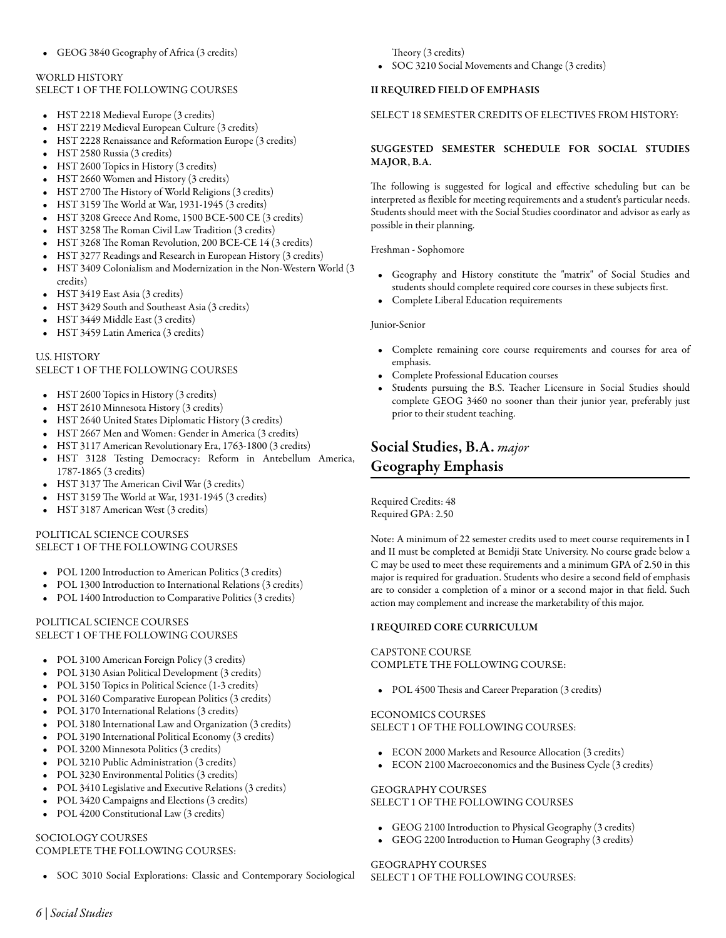# WORLD HISTORY SELECT 1 OF THE FOLLOWING COURSES

- HST 2218 [Medieval Europe](/academics/catalog/20233/courses/hst/2218) (3 credits)
- HST 2219 [Medieval European Culture](/academics/catalog/20233/courses/hst/2219) (3 credits)
- HST 2228 [Renaissance and Reformation Europe](/academics/catalog/20233/courses/hst/2228) (3 credits)
- HST 2580 [Russia](/academics/catalog/20233/courses/hst/2580) (3 credits)
- HST 2600 [Topics in History](/academics/catalog/20233/courses/hst/2600) (3 credits)
- HST 2660 [Women and History](/academics/catalog/20233/courses/hst/2660) (3 credits)
- HST 2700 [The History of World Religions](/academics/catalog/20233/courses/hst/2700) (3 credits)
- HST 3159 [The World at War, 1931-1945](/academics/catalog/20233/courses/hst/3159) (3 credits)
- HST 3208 [Greece And Rome, 1500 BCE-500 CE](/academics/catalog/20233/courses/hst/3208) (3 credits)
- HST 3258 [The Roman Civil Law Tradition](/academics/catalog/20233/courses/hst/3258) (3 credits)
- HST 3268 [The Roman Revolution, 200 BCE-CE 14](/academics/catalog/20233/courses/hst/3268) (3 credits)
- HST 3277 [Readings and Research in European History](/academics/catalog/20233/courses/hst/3277) (3 credits)
- HST 3409 [Colonialism and Modernization in the Non-Western World](/academics/catalog/20233/courses/hst/3409) (3 credits)
- HST 3419 [East Asia](/academics/catalog/20233/courses/hst/3419) (3 credits)
- HST 3429 [South and Southeast Asia](/academics/catalog/20233/courses/hst/3429) (3 credits)
- HST 3449 [Middle East](/academics/catalog/20233/courses/hst/3449) (3 credits)
- HST 3459 [Latin America](/academics/catalog/20233/courses/hst/3459) (3 credits)

# U.S. HISTORY

# SELECT 1 OF THE FOLLOWING COURSES

- HST 2600 [Topics in History](/academics/catalog/20233/courses/hst/2600) (3 credits)
- HST 2610 [Minnesota History](/academics/catalog/20233/courses/hst/2610) (3 credits)
- HST 2640 [United States Diplomatic History](/academics/catalog/20233/courses/hst/2640) (3 credits)
- HST 2667 [Men and Women: Gender in America](/academics/catalog/20233/courses/hst/2667) (3 credits)
- HST 3117 [American Revolutionary Era, 1763-1800](/academics/catalog/20233/courses/hst/3117) (3 credits)
- HST 3128 [Testing Democracy: Reform in Antebellum America,](/academics/catalog/20233/courses/hst/3128) [1787-1865](/academics/catalog/20233/courses/hst/3128) (3 credits)
- HST 3137 [The American Civil War](/academics/catalog/20233/courses/hst/3137) (3 credits)
- $\bullet$  HST 3159 [The World at War, 1931-1945](/academics/catalog/20233/courses/hst/3159) (3 credits)
- HST 3187 [American West](/academics/catalog/20233/courses/hst/3187) (3 credits)

# POLITICAL SCIENCE COURSES SELECT 1 OF THE FOLLOWING COURSES

- POL 1200 [Introduction to American Politics](/academics/catalog/20233/courses/pol/1200) (3 credits)
- POL 1300 [Introduction to International Relations](/academics/catalog/20233/courses/pol/1300) (3 credits)
- POL 1400 [Introduction to Comparative Politics](/academics/catalog/20233/courses/pol/1400) (3 credits)

## POLITICAL SCIENCE COURSES SELECT 1 OF THE FOLLOWING COURSES

- POL 3100 [American Foreign Policy](/academics/catalog/20233/courses/pol/3100) (3 credits)
- POL 3130 [Asian Political Development](/academics/catalog/20233/courses/pol/3130) (3 credits)
- POL 3150 [Topics in Political Science](/academics/catalog/20233/courses/pol/3150) (1-3 credits)
- POL 3160 [Comparative European Politics](/academics/catalog/20233/courses/pol/3160) (3 credits)
- POL 3170 [International Relations](/academics/catalog/20233/courses/pol/3170) (3 credits)
- POL 3180 [International Law and Organization](/academics/catalog/20233/courses/pol/3180) (3 credits)
- POL 3190 [International Political Economy](/academics/catalog/20233/courses/pol/3190) (3 credits)
- POL 3200 [Minnesota Politics](/academics/catalog/20233/courses/pol/3200) (3 credits)
- POL 3210 [Public Administration](/academics/catalog/20233/courses/pol/3210) (3 credits)
- POL 3230 [Environmental Politics](/academics/catalog/20233/courses/pol/3230) (3 credits)
- POL 3410 [Legislative and Executive Relations](/academics/catalog/20233/courses/pol/3410) (3 credits)
- POL 3420 [Campaigns and Elections](/academics/catalog/20233/courses/pol/3420) (3 credits)
- POL 4200 [Constitutional Law](/academics/catalog/20233/courses/pol/4200) (3 credits)

# SOCIOLOGY COURSES

# COMPLETE THE FOLLOWING COURSES:

• SOC 3010 [Social Explorations: Classic and Contemporary Sociological](/academics/catalog/20233/courses/soc/3010)

[Theory](/academics/catalog/20233/courses/soc/3010) (3 credits)

• SOC 3210 [Social Movements and Change](/academics/catalog/20233/courses/soc/3210) (3 credits)

# II REQUIRED FIELD OF EMPHASIS

# SELECT 18 SEMESTER CREDITS OF ELECTIVES FROM HISTORY:

# SUGGESTED SEMESTER SCHEDULE FOR SOCIAL STUDIES MAJOR, B.A.

The following is suggested for logical and effective scheduling but can be interpreted as flexible for meeting requirements and a student's particular needs. Students should meet with the Social Studies coordinator and advisor as early as possible in their planning.

Freshman - Sophomore

- Geography and History constitute the "matrix" of Social Studies and students should complete required core courses in these subjects first.
- Complete Liberal Education requirements

# Junior-Senior

- Complete remaining core course requirements and courses for area of emphasis.
- Complete Professional Education courses
- Students pursuing the B.S. Teacher Licensure in Social Studies should complete GEOG 3460 no sooner than their junior year, preferably just prior to their student teaching.

# Social Studies, B.A. *major* Geography Emphasis

Required Credits: 48 Required GPA: 2.50

Note: A minimum of 22 semester credits used to meet course requirements in I and II must be completed at Bemidji State University. No course grade below a C may be used to meet these requirements and a minimum GPA of 2.50 in this major is required for graduation. Students who desire a second field of emphasis are to consider a completion of a minor or a second major in that field. Such action may complement and increase the marketability of this major.

# I REQUIRED CORE CURRICULUM

# CAPSTONE COURSE COMPLETE THE FOLLOWING COURSE:

• POL 4500 [Thesis and Career Preparation](/academics/catalog/20233/courses/pol/4500) (3 credits)

## ECONOMICS COURSES SELECT 1 OF THE FOLLOWING COURSES:

- ECON 2000 [Markets and Resource Allocation](/academics/catalog/20233/courses/econ/2000) (3 credits)
- ECON 2100 [Macroeconomics and the Business Cycle](/academics/catalog/20233/courses/econ/2100) (3 credits)

# GEOGRAPHY COURSES

# SELECT 1 OF THE FOLLOWING COURSES

- GEOG 2100 [Introduction to Physical Geography](/academics/catalog/20233/courses/geog/2100) (3 credits)
- GEOG 2200 [Introduction to Human Geography](/academics/catalog/20233/courses/geog/2200) (3 credits)

# GEOGRAPHY COURSES SELECT 1 OF THE FOLLOWING COURSES: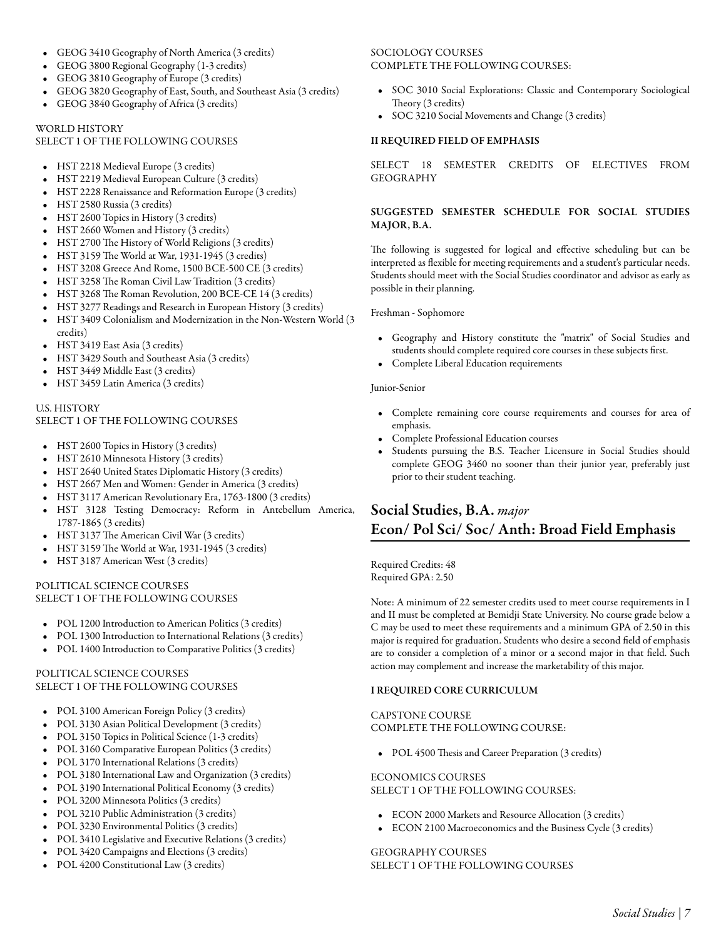- GEOG 3410 [Geography of North America](/academics/catalog/20233/courses/geog/3410) (3 credits)
- GEOG 3800 [Regional Geography](/academics/catalog/20233/courses/geog/3800) (1-3 credits)
- GEOG 3810 [Geography of Europe](/academics/catalog/20233/courses/geog/3810) (3 credits)
- GEOG 3820 [Geography of East, South, and Southeast Asia](/academics/catalog/20233/courses/geog/3820) (3 credits)
- GEOG 3840 [Geography of Africa](/academics/catalog/20233/courses/geog/3840) (3 credits)

### WORLD HISTORY

#### SELECT 1 OF THE FOLLOWING COURSES

- HST 2218 [Medieval Europe](/academics/catalog/20233/courses/hst/2218) (3 credits)
- HST 2219 [Medieval European Culture](/academics/catalog/20233/courses/hst/2219) (3 credits)
- HST 2228 [Renaissance and Reformation Europe](/academics/catalog/20233/courses/hst/2228) (3 credits)
- HST 2580 [Russia](/academics/catalog/20233/courses/hst/2580) (3 credits)
- HST 2600 [Topics in History](/academics/catalog/20233/courses/hst/2600) (3 credits)
- HST 2660 [Women and History](/academics/catalog/20233/courses/hst/2660) (3 credits)
- HST 2700 [The History of World Religions](/academics/catalog/20233/courses/hst/2700) (3 credits)
- HST 3159 [The World at War, 1931-1945](/academics/catalog/20233/courses/hst/3159) (3 credits)
- HST 3208 [Greece And Rome, 1500 BCE-500 CE](/academics/catalog/20233/courses/hst/3208) (3 credits)
- HST 3258 [The Roman Civil Law Tradition](/academics/catalog/20233/courses/hst/3258) (3 credits)
- HST 3268 [The Roman Revolution, 200 BCE-CE 14](/academics/catalog/20233/courses/hst/3268) (3 credits)
- HST 3277 [Readings and Research in European History](/academics/catalog/20233/courses/hst/3277) (3 credits)
- HST 3409 [Colonialism and Modernization in the Non-Western World](/academics/catalog/20233/courses/hst/3409) (3 credits)
- HST 3419 [East Asia](/academics/catalog/20233/courses/hst/3419) (3 credits)
- HST 3429 [South and Southeast Asia](/academics/catalog/20233/courses/hst/3429) (3 credits)
- HST 3449 [Middle East](/academics/catalog/20233/courses/hst/3449) (3 credits)
- HST 3459 [Latin America](/academics/catalog/20233/courses/hst/3459) (3 credits)

## U.S. HISTORY SELECT 1 OF THE FOLLOWING COURSES

- HST 2600 [Topics in History](/academics/catalog/20233/courses/hst/2600) (3 credits)
- HST 2610 [Minnesota History](/academics/catalog/20233/courses/hst/2610) (3 credits)
- HST 2640 [United States Diplomatic History](/academics/catalog/20233/courses/hst/2640) (3 credits)
- HST 2667 [Men and Women: Gender in America](/academics/catalog/20233/courses/hst/2667) (3 credits)
- HST 3117 [American Revolutionary Era, 1763-1800](/academics/catalog/20233/courses/hst/3117) (3 credits)
- HST 3128 [Testing Democracy: Reform in Antebellum America,](/academics/catalog/20233/courses/hst/3128) [1787-1865](/academics/catalog/20233/courses/hst/3128) (3 credits)
- HST 3137 [The American Civil War](/academics/catalog/20233/courses/hst/3137) (3 credits)
- HST 3159 [The World at War, 1931-1945](/academics/catalog/20233/courses/hst/3159) (3 credits)
- HST 3187 [American West](/academics/catalog/20233/courses/hst/3187) (3 credits)

## POLITICAL SCIENCE COURSES SELECT 1 OF THE FOLLOWING COURSES

- POL 1200 [Introduction to American Politics](/academics/catalog/20233/courses/pol/1200) (3 credits)
- POL 1300 [Introduction to International Relations](/academics/catalog/20233/courses/pol/1300) (3 credits)
- POL 1400 [Introduction to Comparative Politics](/academics/catalog/20233/courses/pol/1400) (3 credits)

### POLITICAL SCIENCE COURSES SELECT 1 OF THE FOLLOWING COURSES

- POL 3100 [American Foreign Policy](/academics/catalog/20233/courses/pol/3100) (3 credits)
- POL 3130 [Asian Political Development](/academics/catalog/20233/courses/pol/3130) (3 credits)
- POL 3150 [Topics in Political Science](/academics/catalog/20233/courses/pol/3150) (1-3 credits)
- POL 3160 [Comparative European Politics](/academics/catalog/20233/courses/pol/3160) (3 credits)
- POL 3170 [International Relations](/academics/catalog/20233/courses/pol/3170) (3 credits)
- POL 3180 [International Law and Organization](/academics/catalog/20233/courses/pol/3180) (3 credits)
- POL 3190 [International Political Economy](/academics/catalog/20233/courses/pol/3190) (3 credits)
- POL 3200 [Minnesota Politics](/academics/catalog/20233/courses/pol/3200) (3 credits)
- POL 3210 [Public Administration](/academics/catalog/20233/courses/pol/3210) (3 credits)
- POL 3230 [Environmental Politics](/academics/catalog/20233/courses/pol/3230) (3 credits)
- POL 3410 [Legislative and Executive Relations](/academics/catalog/20233/courses/pol/3410) (3 credits)
- POL 3420 [Campaigns and Elections](/academics/catalog/20233/courses/pol/3420) (3 credits)
- POL 4200 [Constitutional Law](/academics/catalog/20233/courses/pol/4200) (3 credits)

### SOCIOLOGY COURSES COMPLETE THE FOLLOWING COURSES:

- SOC 3010 [Social Explorations: Classic and Contemporary Sociological](/academics/catalog/20233/courses/soc/3010) [Theory](/academics/catalog/20233/courses/soc/3010) (3 credits)
- SOC 3210 [Social Movements and Change](/academics/catalog/20233/courses/soc/3210) (3 credits)

#### II REQUIRED FIELD OF EMPHASIS

SELECT 18 SEMESTER CREDITS OF ELECTIVES FROM GEOGRAPHY

### SUGGESTED SEMESTER SCHEDULE FOR SOCIAL STUDIES MAJOR, B.A.

The following is suggested for logical and effective scheduling but can be interpreted as flexible for meeting requirements and a student's particular needs. Students should meet with the Social Studies coordinator and advisor as early as possible in their planning.

### Freshman - Sophomore

- Geography and History constitute the "matrix" of Social Studies and students should complete required core courses in these subjects first.
- Complete Liberal Education requirements

#### Junior-Senior

- Complete remaining core course requirements and courses for area of emphasis.
- Complete Professional Education courses
- Students pursuing the B.S. Teacher Licensure in Social Studies should complete GEOG 3460 no sooner than their junior year, preferably just prior to their student teaching.

# Social Studies, B.A. *major* Econ/ Pol Sci/ Soc/ Anth: Broad Field Emphasis

Required Credits: 48 Required GPA: 2.50

Note: A minimum of 22 semester credits used to meet course requirements in I and II must be completed at Bemidji State University. No course grade below a C may be used to meet these requirements and a minimum GPA of 2.50 in this major is required for graduation. Students who desire a second field of emphasis are to consider a completion of a minor or a second major in that field. Such action may complement and increase the marketability of this major.

### I REQUIRED CORE CURRICULUM

### CAPSTONE COURSE COMPLETE THE FOLLOWING COURSE:

• POL 4500 [Thesis and Career Preparation](/academics/catalog/20233/courses/pol/4500) (3 credits)

### ECONOMICS COURSES

SELECT 1 OF THE FOLLOWING COURSES:

- ECON 2000 [Markets and Resource Allocation](/academics/catalog/20233/courses/econ/2000) (3 credits)
- ECON 2100 [Macroeconomics and the Business Cycle](/academics/catalog/20233/courses/econ/2100) (3 credits)

#### GEOGRAPHY COURSES SELECT 1 OF THE FOLLOWING COURSES

*Social Studies | 7*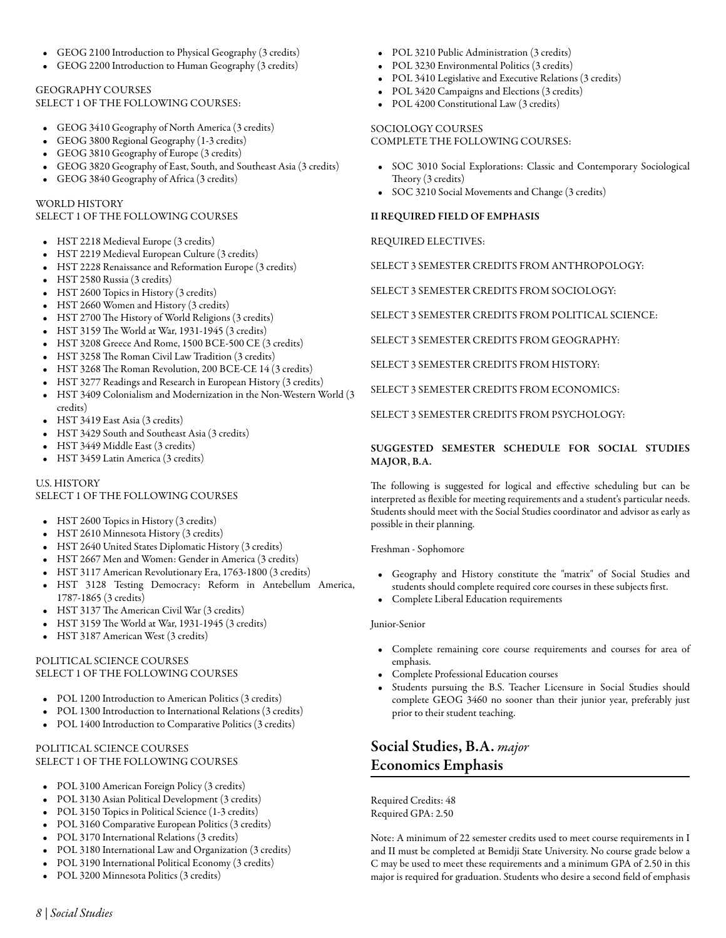- GEOG 2100 [Introduction to Physical Geography](/academics/catalog/20233/courses/geog/2100) (3 credits)
- GEOG 2200 [Introduction to Human Geography](/academics/catalog/20233/courses/geog/2200) (3 credits)

## GEOGRAPHY COURSES

SELECT 1 OF THE FOLLOWING COURSES:

- GEOG 3410 [Geography of North America](/academics/catalog/20233/courses/geog/3410) (3 credits)
- GEOG 3800 [Regional Geography](/academics/catalog/20233/courses/geog/3800) (1-3 credits)
- GEOG 3810 [Geography of Europe](/academics/catalog/20233/courses/geog/3810) (3 credits)
- GEOG 3820 [Geography of East, South, and Southeast Asia](/academics/catalog/20233/courses/geog/3820) (3 credits)
- GEOG 3840 [Geography of Africa](/academics/catalog/20233/courses/geog/3840) (3 credits)

### WORLD HISTORY

### SELECT 1 OF THE FOLLOWING COURSES

- HST 2218 [Medieval Europe](/academics/catalog/20233/courses/hst/2218) (3 credits)
- HST 2219 [Medieval European Culture](/academics/catalog/20233/courses/hst/2219) (3 credits)
- HST 2228 [Renaissance and Reformation Europe](/academics/catalog/20233/courses/hst/2228) (3 credits)
- HST 2580 [Russia](/academics/catalog/20233/courses/hst/2580) (3 credits)
- HST 2600 [Topics in History](/academics/catalog/20233/courses/hst/2600) (3 credits)
- HST 2660 [Women and History](/academics/catalog/20233/courses/hst/2660) (3 credits)
- HST 2700 [The History of World Religions](/academics/catalog/20233/courses/hst/2700) (3 credits)
- HST 3159 [The World at War, 1931-1945](/academics/catalog/20233/courses/hst/3159) (3 credits)
- HST 3208 [Greece And Rome, 1500 BCE-500 CE](/academics/catalog/20233/courses/hst/3208) (3 credits)
- HST 3258 [The Roman Civil Law Tradition](/academics/catalog/20233/courses/hst/3258) (3 credits)
- HST 3268 [The Roman Revolution, 200 BCE-CE 14](/academics/catalog/20233/courses/hst/3268) (3 credits)
- HST 3277 [Readings and Research in European History](/academics/catalog/20233/courses/hst/3277) (3 credits)
- HST 3409 [Colonialism and Modernization in the Non-Western World](/academics/catalog/20233/courses/hst/3409) (3 credits)
- HST 3419 [East Asia](/academics/catalog/20233/courses/hst/3419) (3 credits)
- HST 3429 [South and Southeast Asia](/academics/catalog/20233/courses/hst/3429) (3 credits)
- HST 3449 [Middle East](/academics/catalog/20233/courses/hst/3449) (3 credits)
- HST 3459 [Latin America](/academics/catalog/20233/courses/hst/3459) (3 credits)

### U.S. HISTORY

### SELECT 1 OF THE FOLLOWING COURSES

- HST 2600 [Topics in History](/academics/catalog/20233/courses/hst/2600) (3 credits)
- HST 2610 [Minnesota History](/academics/catalog/20233/courses/hst/2610) (3 credits)
- HST 2640 [United States Diplomatic History](/academics/catalog/20233/courses/hst/2640) (3 credits)
- HST 2667 [Men and Women: Gender in America](/academics/catalog/20233/courses/hst/2667) (3 credits)
- HST 3117 [American Revolutionary Era, 1763-1800](/academics/catalog/20233/courses/hst/3117) (3 credits)
- HST 3128 [Testing Democracy: Reform in Antebellum America,](/academics/catalog/20233/courses/hst/3128) [1787-1865](/academics/catalog/20233/courses/hst/3128) (3 credits)
- HST 3137 [The American Civil War](/academics/catalog/20233/courses/hst/3137) (3 credits)
- HST 3159 [The World at War, 1931-1945](/academics/catalog/20233/courses/hst/3159) (3 credits)
- HST 3187 [American West](/academics/catalog/20233/courses/hst/3187) (3 credits)

### POLITICAL SCIENCE COURSES SELECT 1 OF THE FOLLOWING COURSES

- POL 1200 [Introduction to American Politics](/academics/catalog/20233/courses/pol/1200) (3 credits)
- POL 1300 [Introduction to International Relations](/academics/catalog/20233/courses/pol/1300) (3 credits)
- POL 1400 [Introduction to Comparative Politics](/academics/catalog/20233/courses/pol/1400) (3 credits)

## POLITICAL SCIENCE COURSES SELECT 1 OF THE FOLLOWING COURSES

- POL 3100 [American Foreign Policy](/academics/catalog/20233/courses/pol/3100) (3 credits)
- POL 3130 [Asian Political Development](/academics/catalog/20233/courses/pol/3130) (3 credits)
- POL 3150 [Topics in Political Science](/academics/catalog/20233/courses/pol/3150) (1-3 credits)
- POL 3160 [Comparative European Politics](/academics/catalog/20233/courses/pol/3160) (3 credits)
- POL 3170 [International Relations](/academics/catalog/20233/courses/pol/3170) (3 credits)
- POL 3180 [International Law and Organization](/academics/catalog/20233/courses/pol/3180) (3 credits)
- POL 3190 [International Political Economy](/academics/catalog/20233/courses/pol/3190) (3 credits)
- POL 3200 [Minnesota Politics](/academics/catalog/20233/courses/pol/3200) (3 credits)
- POL 3210 [Public Administration](/academics/catalog/20233/courses/pol/3210) (3 credits)
- POL 3230 [Environmental Politics](/academics/catalog/20233/courses/pol/3230) (3 credits)
- POL 3410 [Legislative and Executive Relations](/academics/catalog/20233/courses/pol/3410) (3 credits)
- POL 3420 [Campaigns and Elections](/academics/catalog/20233/courses/pol/3420) (3 credits)
- POL 4200 [Constitutional Law](/academics/catalog/20233/courses/pol/4200) (3 credits)

# SOCIOLOGY COURSES

COMPLETE THE FOLLOWING COURSES:

- SOC 3010 [Social Explorations: Classic and Contemporary Sociological](/academics/catalog/20233/courses/soc/3010) [Theory](/academics/catalog/20233/courses/soc/3010) (3 credits)
- SOC 3210 [Social Movements and Change](/academics/catalog/20233/courses/soc/3210) (3 credits)

### II REQUIRED FIELD OF EMPHASIS

### REQUIRED ELECTIVES:

SELECT 3 SEMESTER CREDITS FROM ANTHROPOLOGY:

SELECT 3 SEMESTER CREDITS FROM SOCIOLOGY:

SELECT 3 SEMESTER CREDITS FROM POLITICAL SCIENCE:

SELECT 3 SEMESTER CREDITS FROM GEOGRAPHY:

SELECT 3 SEMESTER CREDITS FROM HISTORY:

SELECT 3 SEMESTER CREDITS FROM ECONOMICS:

SELECT 3 SEMESTER CREDITS FROM PSYCHOLOGY:

### SUGGESTED SEMESTER SCHEDULE FOR SOCIAL STUDIES MAJOR, B.A.

The following is suggested for logical and effective scheduling but can be interpreted as flexible for meeting requirements and a student's particular needs. Students should meet with the Social Studies coordinator and advisor as early as possible in their planning.

Freshman - Sophomore

- Geography and History constitute the "matrix" of Social Studies and students should complete required core courses in these subjects first.
- Complete Liberal Education requirements

### Junior-Senior

- Complete remaining core course requirements and courses for area of emphasis.
- Complete Professional Education courses
- Students pursuing the B.S. Teacher Licensure in Social Studies should complete GEOG 3460 no sooner than their junior year, preferably just prior to their student teaching.

# Social Studies, B.A. *major* Economics Emphasis

Required Credits: 48 Required GPA: 2.50

Note: A minimum of 22 semester credits used to meet course requirements in I and II must be completed at Bemidji State University. No course grade below a C may be used to meet these requirements and a minimum GPA of 2.50 in this major is required for graduation. Students who desire a second field of emphasis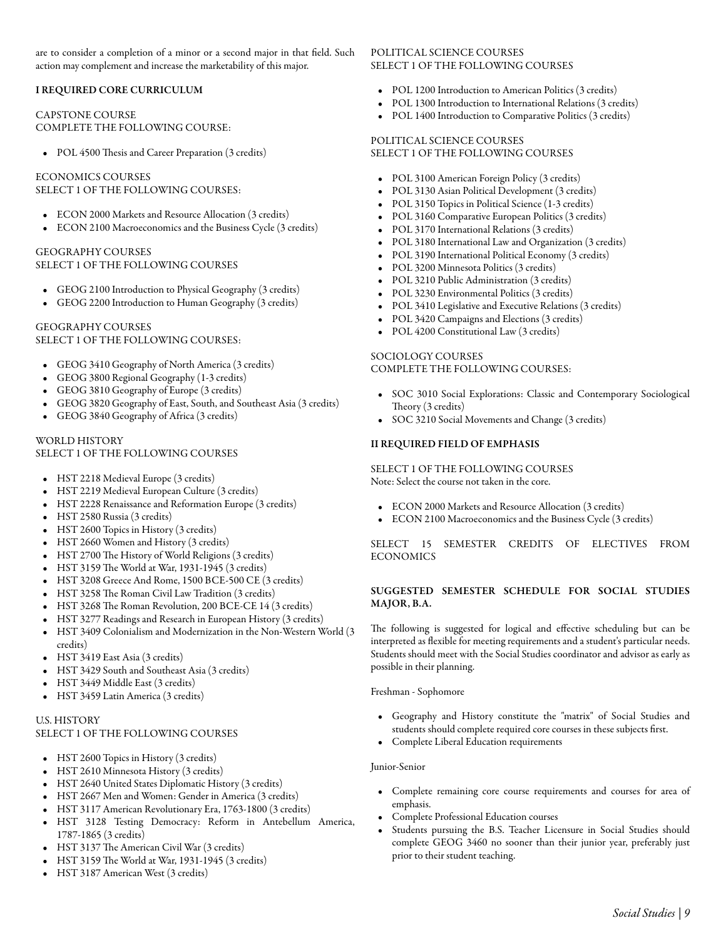are to consider a completion of a minor or a second major in that field. Such action may complement and increase the marketability of this major.

### I REQUIRED CORE CURRICULUM

### CAPSTONE COURSE COMPLETE THE FOLLOWING COURSE:

• POL 4500 [Thesis and Career Preparation](/academics/catalog/20233/courses/pol/4500) (3 credits)

## ECONOMICS COURSES

SELECT 1 OF THE FOLLOWING COURSES:

- ECON 2000 [Markets and Resource Allocation](/academics/catalog/20233/courses/econ/2000) (3 credits)
- ECON 2100 [Macroeconomics and the Business Cycle](/academics/catalog/20233/courses/econ/2100) (3 credits)

### GEOGRAPHY COURSES SELECT 1 OF THE FOLLOWING COURSES

- GEOG 2100 [Introduction to Physical Geography](/academics/catalog/20233/courses/geog/2100) (3 credits)
- GEOG 2200 [Introduction to Human Geography](/academics/catalog/20233/courses/geog/2200) (3 credits)

GEOGRAPHY COURSES SELECT 1 OF THE FOLLOWING COURSES:

- GEOG 3410 [Geography of North America](/academics/catalog/20233/courses/geog/3410) (3 credits)
- GEOG 3800 [Regional Geography](/academics/catalog/20233/courses/geog/3800) (1-3 credits)
- GEOG 3810 [Geography of Europe](/academics/catalog/20233/courses/geog/3810) (3 credits)
- GEOG 3820 [Geography of East, South, and Southeast Asia](/academics/catalog/20233/courses/geog/3820) (3 credits)
- GEOG 3840 [Geography of Africa](/academics/catalog/20233/courses/geog/3840) (3 credits)

#### WORLD HISTORY SELECT 1 OF THE FOLLOWING COURSES

- HST 2218 [Medieval Europe](/academics/catalog/20233/courses/hst/2218) (3 credits)
- HST 2219 [Medieval European Culture](/academics/catalog/20233/courses/hst/2219) (3 credits)
- HST 2228 [Renaissance and Reformation Europe](/academics/catalog/20233/courses/hst/2228) (3 credits)
- HST 2580 [Russia](/academics/catalog/20233/courses/hst/2580) (3 credits)
- HST 2600 [Topics in History](/academics/catalog/20233/courses/hst/2600) (3 credits)
- HST 2660 [Women and History](/academics/catalog/20233/courses/hst/2660) (3 credits)
- HST 2700 [The History of World Religions](/academics/catalog/20233/courses/hst/2700) (3 credits)
- HST 3159 [The World at War, 1931-1945](/academics/catalog/20233/courses/hst/3159) (3 credits)
- HST 3208 [Greece And Rome, 1500 BCE-500 CE](/academics/catalog/20233/courses/hst/3208) (3 credits)
- HST 3258 [The Roman Civil Law Tradition](/academics/catalog/20233/courses/hst/3258) (3 credits)
- HST 3268 [The Roman Revolution, 200 BCE-CE 14](/academics/catalog/20233/courses/hst/3268) (3 credits)
- HST 3277 [Readings and Research in European History](/academics/catalog/20233/courses/hst/3277) (3 credits)
- HST 3409 [Colonialism and Modernization in the Non-Western World](/academics/catalog/20233/courses/hst/3409) (3 credits)
- HST 3419 [East Asia](/academics/catalog/20233/courses/hst/3419) (3 credits)
- HST 3429 [South and Southeast Asia](/academics/catalog/20233/courses/hst/3429) (3 credits)
- HST 3449 [Middle East](/academics/catalog/20233/courses/hst/3449) (3 credits)
- HST 3459 [Latin America](/academics/catalog/20233/courses/hst/3459) (3 credits)

## U.S. HISTORY SELECT 1 OF THE FOLLOWING COURSES

- HST 2600 [Topics in History](/academics/catalog/20233/courses/hst/2600) (3 credits)
- HST 2610 [Minnesota History](/academics/catalog/20233/courses/hst/2610) (3 credits)
- HST 2640 [United States Diplomatic History](/academics/catalog/20233/courses/hst/2640) (3 credits)
- HST 2667 [Men and Women: Gender in America](/academics/catalog/20233/courses/hst/2667) (3 credits)
- HST 3117 [American Revolutionary Era, 1763-1800](/academics/catalog/20233/courses/hst/3117) (3 credits)
- HST 3128 [Testing Democracy: Reform in Antebellum America,](/academics/catalog/20233/courses/hst/3128) [1787-1865](/academics/catalog/20233/courses/hst/3128) (3 credits)
- HST 3137 [The American Civil War](/academics/catalog/20233/courses/hst/3137) (3 credits)
- HST 3159 [The World at War, 1931-1945](/academics/catalog/20233/courses/hst/3159) (3 credits)
- HST 3187 [American West](/academics/catalog/20233/courses/hst/3187) (3 credits)

## POLITICAL SCIENCE COURSES SELECT 1 OF THE FOLLOWING COURSES

- POL 1200 [Introduction to American Politics](/academics/catalog/20233/courses/pol/1200) (3 credits)
- POL 1300 [Introduction to International Relations](/academics/catalog/20233/courses/pol/1300) (3 credits)
- POL 1400 [Introduction to Comparative Politics](/academics/catalog/20233/courses/pol/1400) (3 credits)

# POLITICAL SCIENCE COURSES

- SELECT 1 OF THE FOLLOWING COURSES
- POL 3100 [American Foreign Policy](/academics/catalog/20233/courses/pol/3100) (3 credits)
- POL 3130 [Asian Political Development](/academics/catalog/20233/courses/pol/3130) (3 credits)
- POL 3150 [Topics in Political Science](/academics/catalog/20233/courses/pol/3150) (1-3 credits)
- POL 3160 [Comparative European Politics](/academics/catalog/20233/courses/pol/3160) (3 credits)
- POL 3170 [International Relations](/academics/catalog/20233/courses/pol/3170) (3 credits)
- POL 3180 [International Law and Organization](/academics/catalog/20233/courses/pol/3180) (3 credits)
- POL 3190 [International Political Economy](/academics/catalog/20233/courses/pol/3190) (3 credits)
- POL 3200 [Minnesota Politics](/academics/catalog/20233/courses/pol/3200) (3 credits)
- POL 3210 [Public Administration](/academics/catalog/20233/courses/pol/3210) (3 credits)
- POL 3230 [Environmental Politics](/academics/catalog/20233/courses/pol/3230) (3 credits)
- POL 3410 [Legislative and Executive Relations](/academics/catalog/20233/courses/pol/3410) (3 credits)
- POL 3420 [Campaigns and Elections](/academics/catalog/20233/courses/pol/3420) (3 credits)
- POL 4200 [Constitutional Law](/academics/catalog/20233/courses/pol/4200) (3 credits)

## SOCIOLOGY COURSES COMPLETE THE FOLLOWING COURSES:

- SOC 3010 [Social Explorations: Classic and Contemporary Sociological](/academics/catalog/20233/courses/soc/3010) [Theory](/academics/catalog/20233/courses/soc/3010) (3 credits)
- SOC 3210 [Social Movements and Change](/academics/catalog/20233/courses/soc/3210) (3 credits)

### II REQUIRED FIELD OF EMPHASIS

SELECT 1 OF THE FOLLOWING COURSES Note: Select the course not taken in the core.

- ECON 2000 [Markets and Resource Allocation](/academics/catalog/20233/courses/econ/2000) (3 credits)
- ECON 2100 [Macroeconomics and the Business Cycle](/academics/catalog/20233/courses/econ/2100) (3 credits)

SELECT 15 SEMESTER CREDITS OF ELECTIVES FROM ECONOMICS

### SUGGESTED SEMESTER SCHEDULE FOR SOCIAL STUDIES MAJOR, B.A.

The following is suggested for logical and effective scheduling but can be interpreted as flexible for meeting requirements and a student's particular needs. Students should meet with the Social Studies coordinator and advisor as early as possible in their planning.

Freshman - Sophomore

- Geography and History constitute the "matrix" of Social Studies and students should complete required core courses in these subjects first.
- Complete Liberal Education requirements

## Junior-Senior

- Complete remaining core course requirements and courses for area of emphasis.
- Complete Professional Education courses
- Students pursuing the B.S. Teacher Licensure in Social Studies should complete GEOG 3460 no sooner than their junior year, preferably just prior to their student teaching.